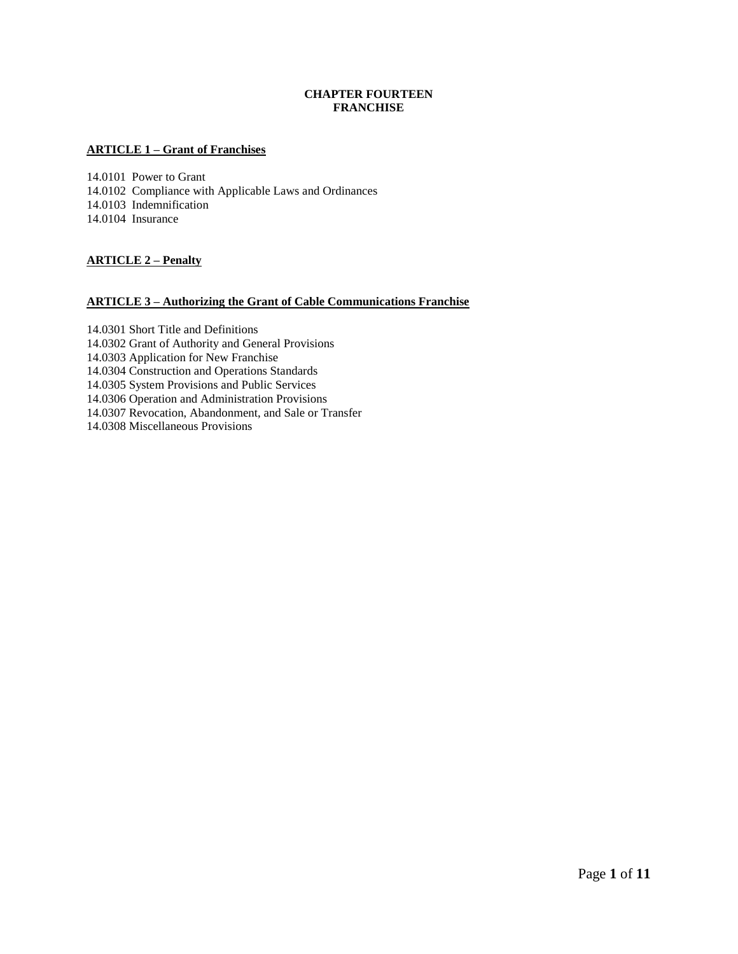# **CHAPTER FOURTEEN FRANCHISE**

## **ARTICLE 1 – Grant of Franchises**

14.0101 Power to Grant 14.0102 Compliance with Applicable Laws and Ordinances 14.0103 Indemnification 14.0104 Insurance

# **ARTICLE 2 – Penalty**

## **ARTICLE 3 – Authorizing the Grant of Cable Communications Franchise**

14.0301 Short Title and Definitions 14.0302 Grant of Authority and General Provisions 14.0303 Application for New Franchise 14.0304 Construction and Operations Standards 14.0305 System Provisions and Public Services 14.0306 Operation and Administration Provisions 14.0307 Revocation, Abandonment, and Sale or Transfer 14.0308 Miscellaneous Provisions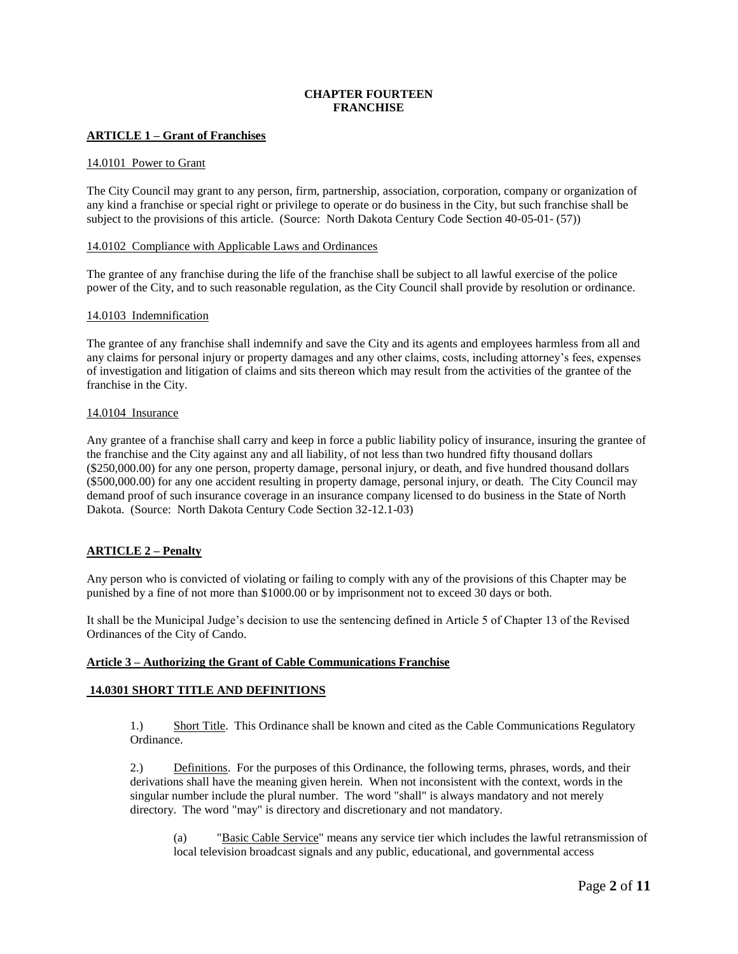# **CHAPTER FOURTEEN FRANCHISE**

## **ARTICLE 1 – Grant of Franchises**

#### 14.0101 Power to Grant

The City Council may grant to any person, firm, partnership, association, corporation, company or organization of any kind a franchise or special right or privilege to operate or do business in the City, but such franchise shall be subject to the provisions of this article. (Source: North Dakota Century Code Section 40-05-01- (57))

### 14.0102 Compliance with Applicable Laws and Ordinances

The grantee of any franchise during the life of the franchise shall be subject to all lawful exercise of the police power of the City, and to such reasonable regulation, as the City Council shall provide by resolution or ordinance.

#### 14.0103 Indemnification

The grantee of any franchise shall indemnify and save the City and its agents and employees harmless from all and any claims for personal injury or property damages and any other claims, costs, including attorney's fees, expenses of investigation and litigation of claims and sits thereon which may result from the activities of the grantee of the franchise in the City.

#### 14.0104 Insurance

Any grantee of a franchise shall carry and keep in force a public liability policy of insurance, insuring the grantee of the franchise and the City against any and all liability, of not less than two hundred fifty thousand dollars (\$250,000.00) for any one person, property damage, personal injury, or death, and five hundred thousand dollars (\$500,000.00) for any one accident resulting in property damage, personal injury, or death. The City Council may demand proof of such insurance coverage in an insurance company licensed to do business in the State of North Dakota. (Source: North Dakota Century Code Section 32-12.1-03)

### **ARTICLE 2 – Penalty**

Any person who is convicted of violating or failing to comply with any of the provisions of this Chapter may be punished by a fine of not more than \$1000.00 or by imprisonment not to exceed 30 days or both.

It shall be the Municipal Judge's decision to use the sentencing defined in Article 5 of Chapter 13 of the Revised Ordinances of the City of Cando.

### **Article 3 – Authorizing the Grant of Cable Communications Franchise**

### **14.0301 SHORT TITLE AND DEFINITIONS**

1.) Short Title. This Ordinance shall be known and cited as the Cable Communications Regulatory Ordinance.

2.) Definitions. For the purposes of this Ordinance, the following terms, phrases, words, and their derivations shall have the meaning given herein. When not inconsistent with the context, words in the singular number include the plural number. The word "shall" is always mandatory and not merely directory. The word "may" is directory and discretionary and not mandatory.

(a) "Basic Cable Service" means any service tier which includes the lawful retransmission of local television broadcast signals and any public, educational, and governmental access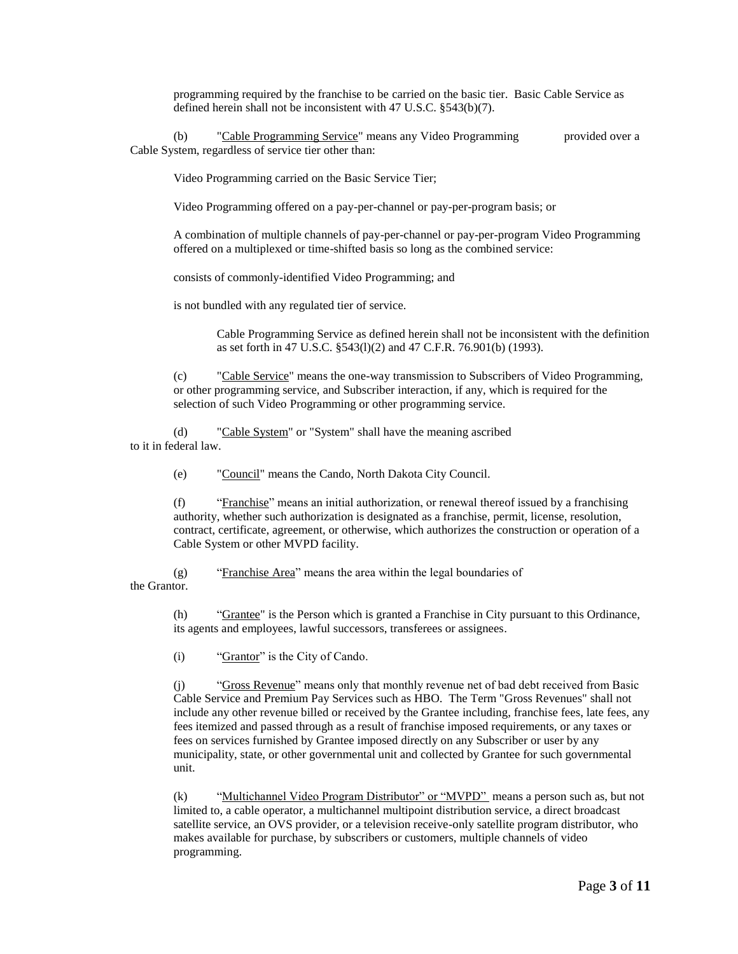programming required by the franchise to be carried on the basic tier. Basic Cable Service as defined herein shall not be inconsistent with 47 U.S.C. §543(b)(7).

(b) "Cable Programming Service" means any Video Programming provided over a Cable System, regardless of service tier other than:

Video Programming carried on the Basic Service Tier;

Video Programming offered on a pay-per-channel or pay-per-program basis; or

A combination of multiple channels of pay-per-channel or pay-per-program Video Programming offered on a multiplexed or time-shifted basis so long as the combined service:

consists of commonly-identified Video Programming; and

is not bundled with any regulated tier of service.

Cable Programming Service as defined herein shall not be inconsistent with the definition as set forth in 47 U.S.C. §543(l)(2) and 47 C.F.R. 76.901(b) (1993).

(c) "Cable Service" means the one-way transmission to Subscribers of Video Programming, or other programming service, and Subscriber interaction, if any, which is required for the selection of such Video Programming or other programming service.

(d) "Cable System" or "System" shall have the meaning ascribed to it in federal law.

(e) "Council" means the Cando, North Dakota City Council.

(f) "Franchise" means an initial authorization, or renewal thereof issued by a franchising authority, whether such authorization is designated as a franchise, permit, license, resolution, contract, certificate, agreement, or otherwise, which authorizes the construction or operation of a Cable System or other MVPD facility.

(g) "Franchise Area" means the area within the legal boundaries of the Grantor.

> (h) "Grantee" is the Person which is granted a Franchise in City pursuant to this Ordinance, its agents and employees, lawful successors, transferees or assignees.

(i) "Grantor" is the City of Cando.

(j) "Gross Revenue" means only that monthly revenue net of bad debt received from Basic Cable Service and Premium Pay Services such as HBO. The Term "Gross Revenues" shall not include any other revenue billed or received by the Grantee including, franchise fees, late fees, any fees itemized and passed through as a result of franchise imposed requirements, or any taxes or fees on services furnished by Grantee imposed directly on any Subscriber or user by any municipality, state, or other governmental unit and collected by Grantee for such governmental unit.

(k) "Multichannel Video Program Distributor" or "MVPD" means a person such as, but not limited to, a cable operator, a multichannel multipoint distribution service, a direct broadcast satellite service, an OVS provider, or a television receive-only satellite program distributor, who makes available for purchase, by subscribers or customers, multiple channels of video programming.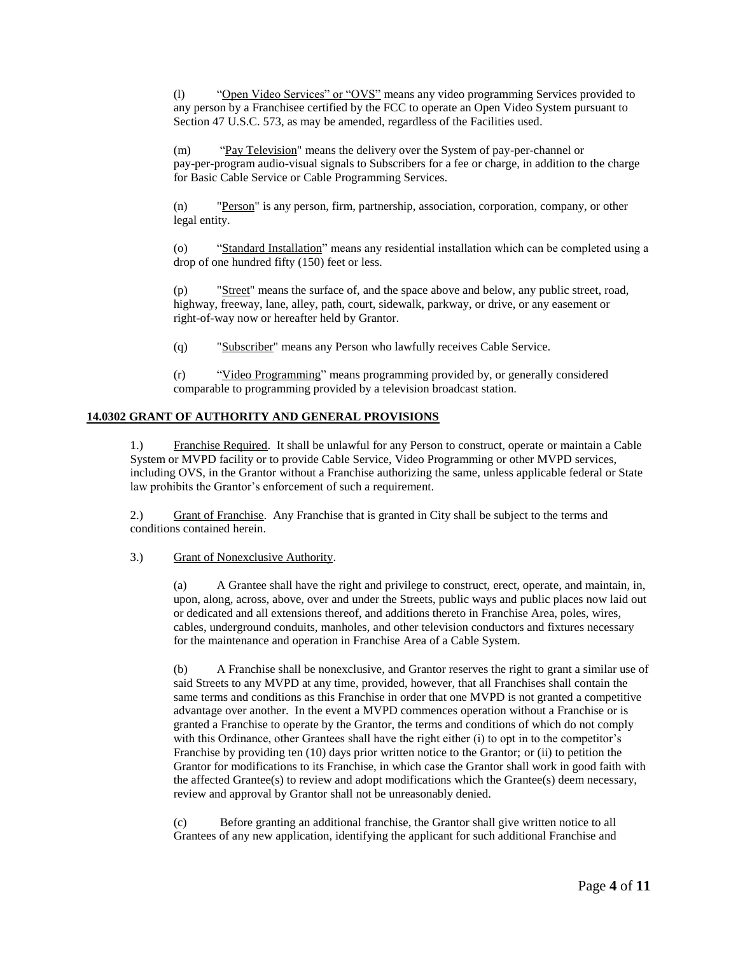(l) "Open Video Services" or "OVS" means any video programming Services provided to any person by a Franchisee certified by the FCC to operate an Open Video System pursuant to Section 47 U.S.C. 573, as may be amended, regardless of the Facilities used.

"Pay Television" means the delivery over the System of pay-per-channel or pay-per-program audio-visual signals to Subscribers for a fee or charge, in addition to the charge for Basic Cable Service or Cable Programming Services.

(n) "Person" is any person, firm, partnership, association, corporation, company, or other legal entity.

(o) "Standard Installation" means any residential installation which can be completed using a drop of one hundred fifty (150) feet or less.

(p) "Street" means the surface of, and the space above and below, any public street, road, highway, freeway, lane, alley, path, court, sidewalk, parkway, or drive, or any easement or right-of-way now or hereafter held by Grantor.

(q) "Subscriber" means any Person who lawfully receives Cable Service.

(r) "Video Programming" means programming provided by, or generally considered comparable to programming provided by a television broadcast station.

# **14.0302 GRANT OF AUTHORITY AND GENERAL PROVISIONS**

1.) Franchise Required. It shall be unlawful for any Person to construct, operate or maintain a Cable System or MVPD facility or to provide Cable Service, Video Programming or other MVPD services, including OVS, in the Grantor without a Franchise authorizing the same, unless applicable federal or State law prohibits the Grantor's enforcement of such a requirement.

2.) Grant of Franchise. Any Franchise that is granted in City shall be subject to the terms and conditions contained herein.

### 3.) Grant of Nonexclusive Authority.

(a) A Grantee shall have the right and privilege to construct, erect, operate, and maintain, in, upon, along, across, above, over and under the Streets, public ways and public places now laid out or dedicated and all extensions thereof, and additions thereto in Franchise Area, poles, wires, cables, underground conduits, manholes, and other television conductors and fixtures necessary for the maintenance and operation in Franchise Area of a Cable System.

(b) A Franchise shall be nonexclusive, and Grantor reserves the right to grant a similar use of said Streets to any MVPD at any time, provided, however, that all Franchises shall contain the same terms and conditions as this Franchise in order that one MVPD is not granted a competitive advantage over another. In the event a MVPD commences operation without a Franchise or is granted a Franchise to operate by the Grantor, the terms and conditions of which do not comply with this Ordinance, other Grantees shall have the right either (i) to opt in to the competitor's Franchise by providing ten (10) days prior written notice to the Grantor; or (ii) to petition the Grantor for modifications to its Franchise, in which case the Grantor shall work in good faith with the affected Grantee(s) to review and adopt modifications which the Grantee(s) deem necessary, review and approval by Grantor shall not be unreasonably denied.

(c) Before granting an additional franchise, the Grantor shall give written notice to all Grantees of any new application, identifying the applicant for such additional Franchise and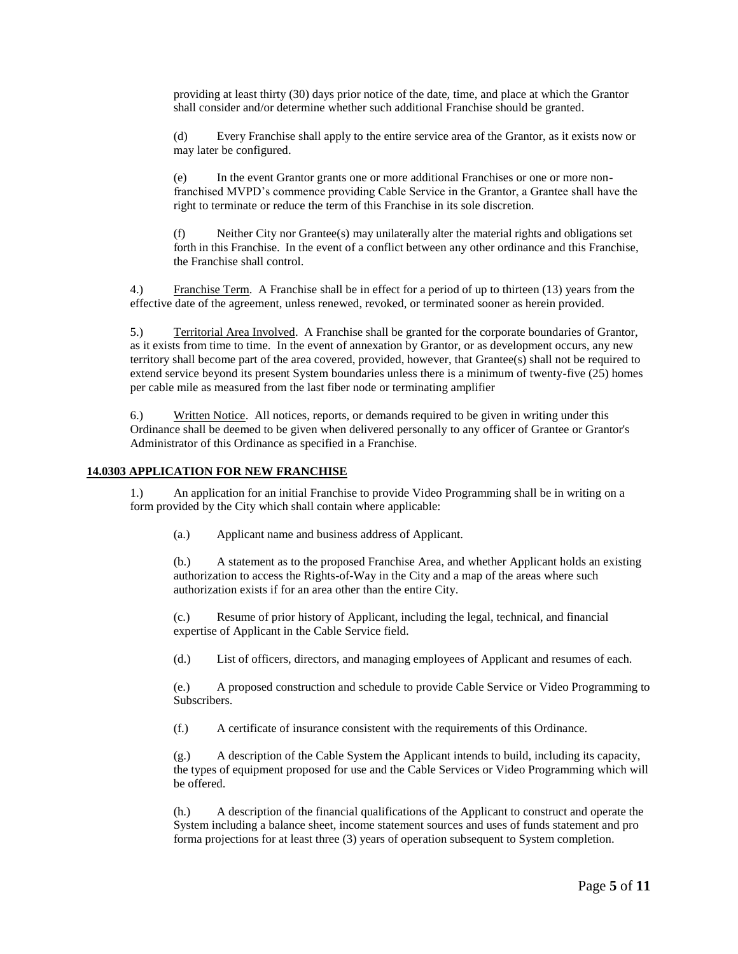providing at least thirty (30) days prior notice of the date, time, and place at which the Grantor shall consider and/or determine whether such additional Franchise should be granted.

(d) Every Franchise shall apply to the entire service area of the Grantor, as it exists now or may later be configured.

(e) In the event Grantor grants one or more additional Franchises or one or more nonfranchised MVPD's commence providing Cable Service in the Grantor, a Grantee shall have the right to terminate or reduce the term of this Franchise in its sole discretion.

(f) Neither City nor Grantee(s) may unilaterally alter the material rights and obligations set forth in this Franchise. In the event of a conflict between any other ordinance and this Franchise, the Franchise shall control.

4.) Franchise Term. A Franchise shall be in effect for a period of up to thirteen (13) years from the effective date of the agreement, unless renewed, revoked, or terminated sooner as herein provided.

5.) Territorial Area Involved. A Franchise shall be granted for the corporate boundaries of Grantor, as it exists from time to time. In the event of annexation by Grantor, or as development occurs, any new territory shall become part of the area covered, provided, however, that Grantee(s) shall not be required to extend service beyond its present System boundaries unless there is a minimum of twenty-five (25) homes per cable mile as measured from the last fiber node or terminating amplifier

6.) Written Notice. All notices, reports, or demands required to be given in writing under this Ordinance shall be deemed to be given when delivered personally to any officer of Grantee or Grantor's Administrator of this Ordinance as specified in a Franchise.

## **14.0303 APPLICATION FOR NEW FRANCHISE**

1.) An application for an initial Franchise to provide Video Programming shall be in writing on a form provided by the City which shall contain where applicable:

(a.) Applicant name and business address of Applicant.

(b.) A statement as to the proposed Franchise Area, and whether Applicant holds an existing authorization to access the Rights-of-Way in the City and a map of the areas where such authorization exists if for an area other than the entire City.

(c.) Resume of prior history of Applicant, including the legal, technical, and financial expertise of Applicant in the Cable Service field.

(d.) List of officers, directors, and managing employees of Applicant and resumes of each.

(e.) A proposed construction and schedule to provide Cable Service or Video Programming to Subscribers.

(f.) A certificate of insurance consistent with the requirements of this Ordinance.

(g.) A description of the Cable System the Applicant intends to build, including its capacity, the types of equipment proposed for use and the Cable Services or Video Programming which will be offered.

(h.) A description of the financial qualifications of the Applicant to construct and operate the System including a balance sheet, income statement sources and uses of funds statement and pro forma projections for at least three (3) years of operation subsequent to System completion.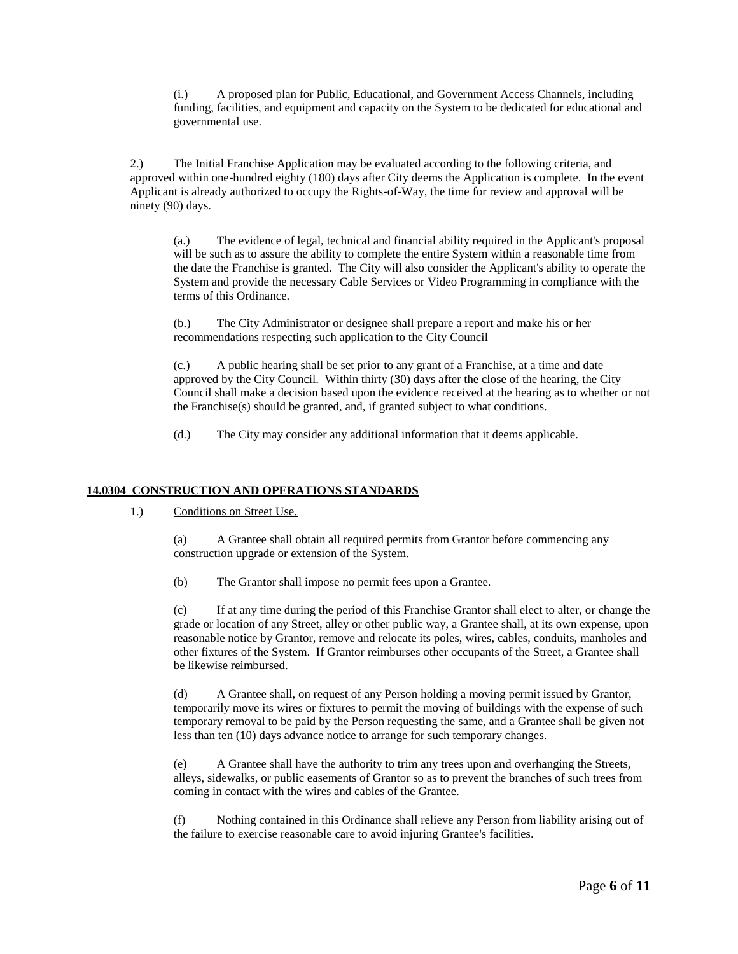(i.) A proposed plan for Public, Educational, and Government Access Channels, including funding, facilities, and equipment and capacity on the System to be dedicated for educational and governmental use.

2.) The Initial Franchise Application may be evaluated according to the following criteria, and approved within one-hundred eighty (180) days after City deems the Application is complete. In the event Applicant is already authorized to occupy the Rights-of-Way, the time for review and approval will be ninety (90) days.

(a.) The evidence of legal, technical and financial ability required in the Applicant's proposal will be such as to assure the ability to complete the entire System within a reasonable time from the date the Franchise is granted. The City will also consider the Applicant's ability to operate the System and provide the necessary Cable Services or Video Programming in compliance with the terms of this Ordinance.

(b.) The City Administrator or designee shall prepare a report and make his or her recommendations respecting such application to the City Council

(c.) A public hearing shall be set prior to any grant of a Franchise, at a time and date approved by the City Council. Within thirty (30) days after the close of the hearing, the City Council shall make a decision based upon the evidence received at the hearing as to whether or not the Franchise(s) should be granted, and, if granted subject to what conditions.

(d.) The City may consider any additional information that it deems applicable.

## **14.0304 CONSTRUCTION AND OPERATIONS STANDARDS**

1.) Conditions on Street Use.

(a) A Grantee shall obtain all required permits from Grantor before commencing any construction upgrade or extension of the System.

(b) The Grantor shall impose no permit fees upon a Grantee.

(c) If at any time during the period of this Franchise Grantor shall elect to alter, or change the grade or location of any Street, alley or other public way, a Grantee shall, at its own expense, upon reasonable notice by Grantor, remove and relocate its poles, wires, cables, conduits, manholes and other fixtures of the System. If Grantor reimburses other occupants of the Street, a Grantee shall be likewise reimbursed.

(d) A Grantee shall, on request of any Person holding a moving permit issued by Grantor, temporarily move its wires or fixtures to permit the moving of buildings with the expense of such temporary removal to be paid by the Person requesting the same, and a Grantee shall be given not less than ten (10) days advance notice to arrange for such temporary changes.

(e) A Grantee shall have the authority to trim any trees upon and overhanging the Streets, alleys, sidewalks, or public easements of Grantor so as to prevent the branches of such trees from coming in contact with the wires and cables of the Grantee.

(f) Nothing contained in this Ordinance shall relieve any Person from liability arising out of the failure to exercise reasonable care to avoid injuring Grantee's facilities.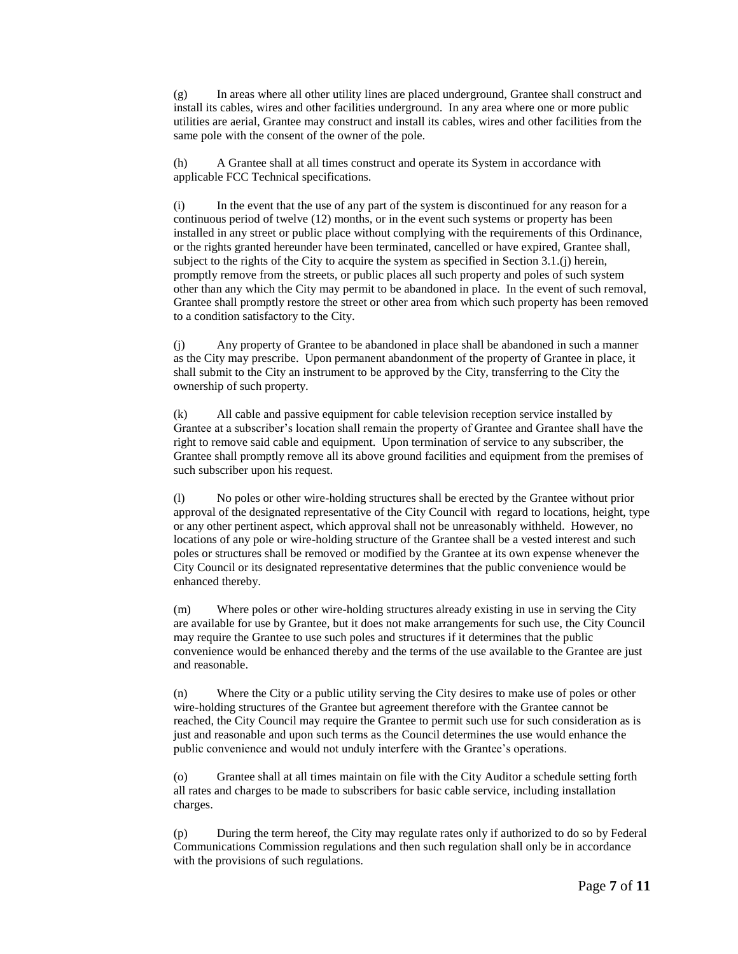(g) In areas where all other utility lines are placed underground, Grantee shall construct and install its cables, wires and other facilities underground. In any area where one or more public utilities are aerial, Grantee may construct and install its cables, wires and other facilities from the same pole with the consent of the owner of the pole.

(h) A Grantee shall at all times construct and operate its System in accordance with applicable FCC Technical specifications.

(i) In the event that the use of any part of the system is discontinued for any reason for a continuous period of twelve (12) months, or in the event such systems or property has been installed in any street or public place without complying with the requirements of this Ordinance, or the rights granted hereunder have been terminated, cancelled or have expired, Grantee shall, subject to the rights of the City to acquire the system as specified in Section 3.1.(j) herein, promptly remove from the streets, or public places all such property and poles of such system other than any which the City may permit to be abandoned in place. In the event of such removal, Grantee shall promptly restore the street or other area from which such property has been removed to a condition satisfactory to the City.

(j) Any property of Grantee to be abandoned in place shall be abandoned in such a manner as the City may prescribe. Upon permanent abandonment of the property of Grantee in place, it shall submit to the City an instrument to be approved by the City, transferring to the City the ownership of such property.

(k) All cable and passive equipment for cable television reception service installed by Grantee at a subscriber's location shall remain the property of Grantee and Grantee shall have the right to remove said cable and equipment. Upon termination of service to any subscriber, the Grantee shall promptly remove all its above ground facilities and equipment from the premises of such subscriber upon his request.

(l) No poles or other wire-holding structures shall be erected by the Grantee without prior approval of the designated representative of the City Council with regard to locations, height, type or any other pertinent aspect, which approval shall not be unreasonably withheld. However, no locations of any pole or wire-holding structure of the Grantee shall be a vested interest and such poles or structures shall be removed or modified by the Grantee at its own expense whenever the City Council or its designated representative determines that the public convenience would be enhanced thereby.

(m) Where poles or other wire-holding structures already existing in use in serving the City are available for use by Grantee, but it does not make arrangements for such use, the City Council may require the Grantee to use such poles and structures if it determines that the public convenience would be enhanced thereby and the terms of the use available to the Grantee are just and reasonable.

(n) Where the City or a public utility serving the City desires to make use of poles or other wire-holding structures of the Grantee but agreement therefore with the Grantee cannot be reached, the City Council may require the Grantee to permit such use for such consideration as is just and reasonable and upon such terms as the Council determines the use would enhance the public convenience and would not unduly interfere with the Grantee's operations.

(o) Grantee shall at all times maintain on file with the City Auditor a schedule setting forth all rates and charges to be made to subscribers for basic cable service, including installation charges.

(p) During the term hereof, the City may regulate rates only if authorized to do so by Federal Communications Commission regulations and then such regulation shall only be in accordance with the provisions of such regulations.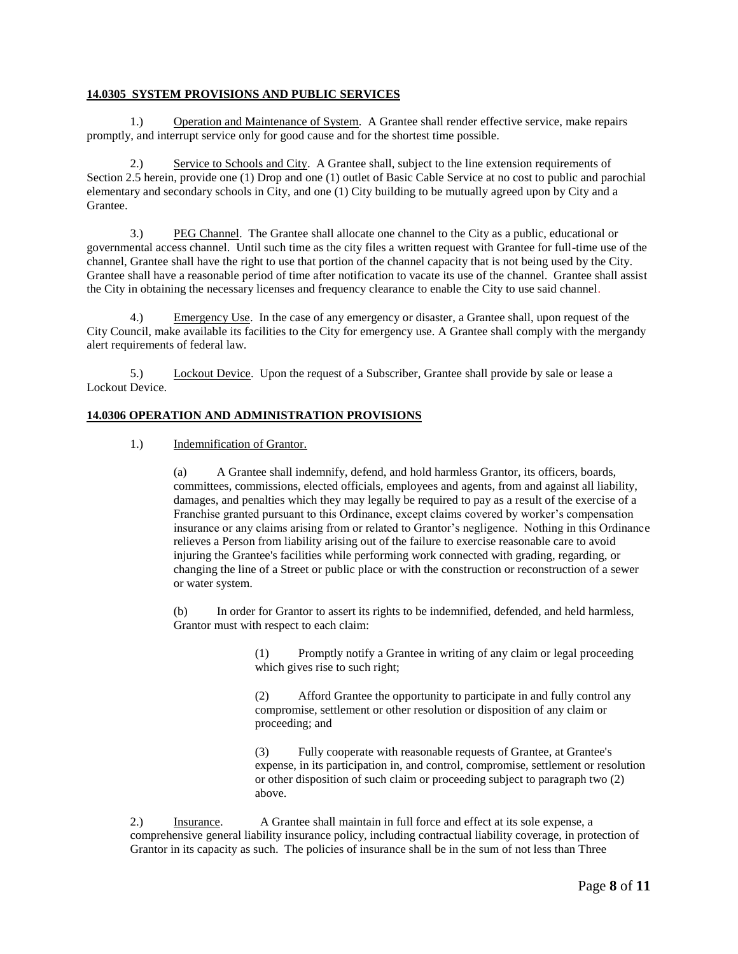## **14.0305 SYSTEM PROVISIONS AND PUBLIC SERVICES**

1.) Operation and Maintenance of System. A Grantee shall render effective service, make repairs promptly, and interrupt service only for good cause and for the shortest time possible.

2.) Service to Schools and City. A Grantee shall, subject to the line extension requirements of Section 2.5 herein, provide one (1) Drop and one (1) outlet of Basic Cable Service at no cost to public and parochial elementary and secondary schools in City, and one (1) City building to be mutually agreed upon by City and a Grantee.

3.) PEG Channel. The Grantee shall allocate one channel to the City as a public, educational or governmental access channel. Until such time as the city files a written request with Grantee for full-time use of the channel, Grantee shall have the right to use that portion of the channel capacity that is not being used by the City. Grantee shall have a reasonable period of time after notification to vacate its use of the channel. Grantee shall assist the City in obtaining the necessary licenses and frequency clearance to enable the City to use said channel.

4.) Emergency Use. In the case of any emergency or disaster, a Grantee shall, upon request of the City Council, make available its facilities to the City for emergency use. A Grantee shall comply with the mergandy alert requirements of federal law.

5.) Lockout Device. Upon the request of a Subscriber, Grantee shall provide by sale or lease a Lockout Device.

### **14.0306 OPERATION AND ADMINISTRATION PROVISIONS**

1.) Indemnification of Grantor.

(a) A Grantee shall indemnify, defend, and hold harmless Grantor, its officers, boards, committees, commissions, elected officials, employees and agents, from and against all liability, damages, and penalties which they may legally be required to pay as a result of the exercise of a Franchise granted pursuant to this Ordinance, except claims covered by worker's compensation insurance or any claims arising from or related to Grantor's negligence. Nothing in this Ordinance relieves a Person from liability arising out of the failure to exercise reasonable care to avoid injuring the Grantee's facilities while performing work connected with grading, regarding, or changing the line of a Street or public place or with the construction or reconstruction of a sewer or water system.

(b) In order for Grantor to assert its rights to be indemnified, defended, and held harmless, Grantor must with respect to each claim:

> (1) Promptly notify a Grantee in writing of any claim or legal proceeding which gives rise to such right;

> (2) Afford Grantee the opportunity to participate in and fully control any compromise, settlement or other resolution or disposition of any claim or proceeding; and

(3) Fully cooperate with reasonable requests of Grantee, at Grantee's expense, in its participation in, and control, compromise, settlement or resolution or other disposition of such claim or proceeding subject to paragraph two (2) above.

2.) Insurance. A Grantee shall maintain in full force and effect at its sole expense, a comprehensive general liability insurance policy, including contractual liability coverage, in protection of Grantor in its capacity as such. The policies of insurance shall be in the sum of not less than Three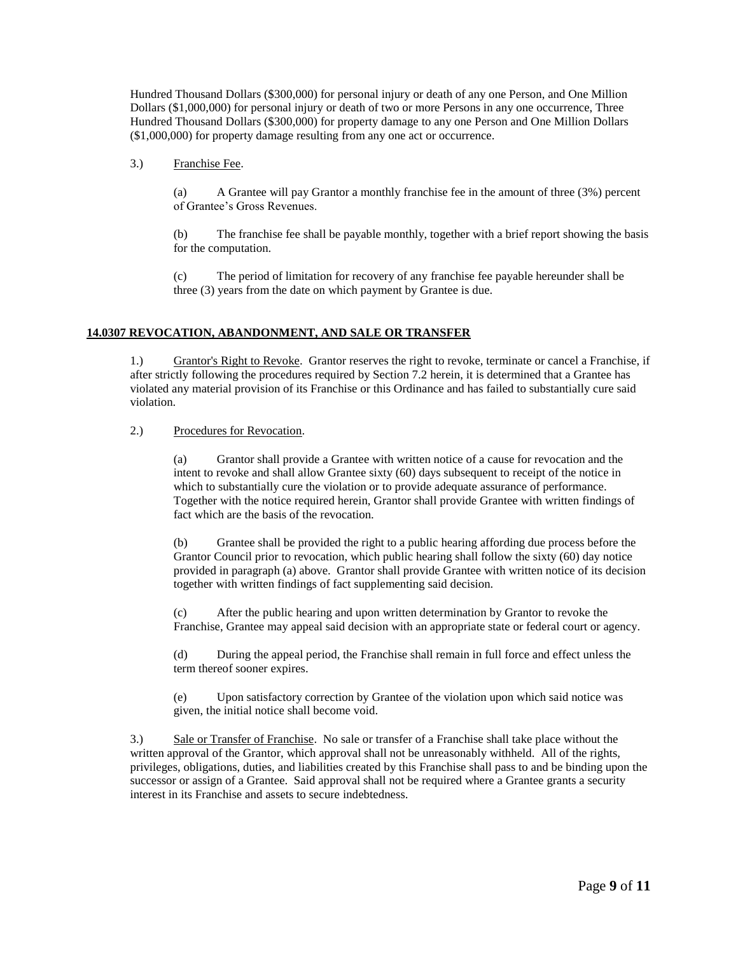Hundred Thousand Dollars (\$300,000) for personal injury or death of any one Person, and One Million Dollars (\$1,000,000) for personal injury or death of two or more Persons in any one occurrence, Three Hundred Thousand Dollars (\$300,000) for property damage to any one Person and One Million Dollars (\$1,000,000) for property damage resulting from any one act or occurrence.

3.) Franchise Fee.

(a) A Grantee will pay Grantor a monthly franchise fee in the amount of three (3%) percent of Grantee's Gross Revenues.

(b) The franchise fee shall be payable monthly, together with a brief report showing the basis for the computation.

(c) The period of limitation for recovery of any franchise fee payable hereunder shall be three (3) years from the date on which payment by Grantee is due.

## **14.0307 REVOCATION, ABANDONMENT, AND SALE OR TRANSFER**

1.) Grantor's Right to Revoke. Grantor reserves the right to revoke, terminate or cancel a Franchise, if after strictly following the procedures required by Section 7.2 herein, it is determined that a Grantee has violated any material provision of its Franchise or this Ordinance and has failed to substantially cure said violation.

2.) Procedures for Revocation.

(a) Grantor shall provide a Grantee with written notice of a cause for revocation and the intent to revoke and shall allow Grantee sixty (60) days subsequent to receipt of the notice in which to substantially cure the violation or to provide adequate assurance of performance. Together with the notice required herein, Grantor shall provide Grantee with written findings of fact which are the basis of the revocation.

(b) Grantee shall be provided the right to a public hearing affording due process before the Grantor Council prior to revocation, which public hearing shall follow the sixty (60) day notice provided in paragraph (a) above. Grantor shall provide Grantee with written notice of its decision together with written findings of fact supplementing said decision.

(c) After the public hearing and upon written determination by Grantor to revoke the Franchise, Grantee may appeal said decision with an appropriate state or federal court or agency.

(d) During the appeal period, the Franchise shall remain in full force and effect unless the term thereof sooner expires.

(e) Upon satisfactory correction by Grantee of the violation upon which said notice was given, the initial notice shall become void.

3.) Sale or Transfer of Franchise. No sale or transfer of a Franchise shall take place without the written approval of the Grantor, which approval shall not be unreasonably withheld. All of the rights, privileges, obligations, duties, and liabilities created by this Franchise shall pass to and be binding upon the successor or assign of a Grantee. Said approval shall not be required where a Grantee grants a security interest in its Franchise and assets to secure indebtedness.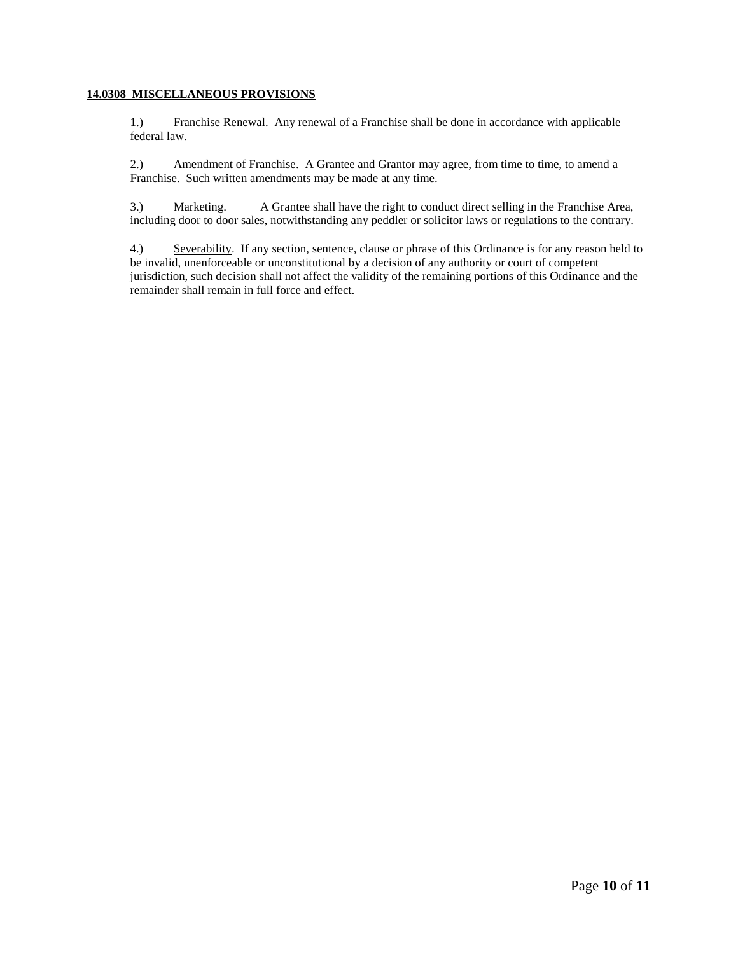## **14.0308 MISCELLANEOUS PROVISIONS**

1.) Franchise Renewal. Any renewal of a Franchise shall be done in accordance with applicable federal law.

2.) Amendment of Franchise. A Grantee and Grantor may agree, from time to time, to amend a Franchise. Such written amendments may be made at any time.

3.) Marketing. A Grantee shall have the right to conduct direct selling in the Franchise Area, including door to door sales, notwithstanding any peddler or solicitor laws or regulations to the contrary.

4.) Severability. If any section, sentence, clause or phrase of this Ordinance is for any reason held to be invalid, unenforceable or unconstitutional by a decision of any authority or court of competent jurisdiction, such decision shall not affect the validity of the remaining portions of this Ordinance and the remainder shall remain in full force and effect.